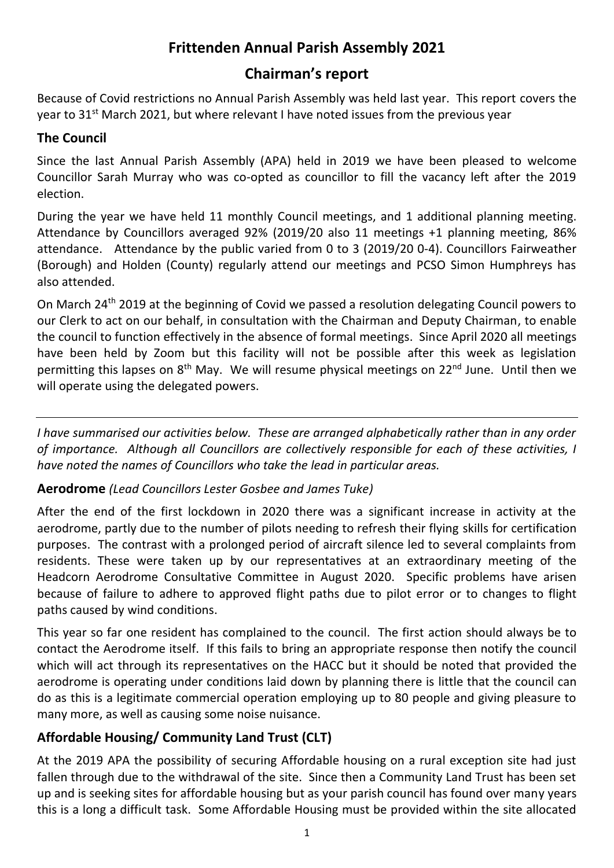# **Frittenden Annual Parish Assembly 2021**

# **Chairman's report**

Because of Covid restrictions no Annual Parish Assembly was held last year. This report covers the year to  $31^{st}$  March 2021, but where relevant I have noted issues from the previous year

### **The Council**

Since the last Annual Parish Assembly (APA) held in 2019 we have been pleased to welcome Councillor Sarah Murray who was co-opted as councillor to fill the vacancy left after the 2019 election.

During the year we have held 11 monthly Council meetings, and 1 additional planning meeting. Attendance by Councillors averaged 92% (2019/20 also 11 meetings +1 planning meeting, 86% attendance. Attendance by the public varied from 0 to 3 (2019/20 0-4). Councillors Fairweather (Borough) and Holden (County) regularly attend our meetings and PCSO Simon Humphreys has also attended.

On March 24th 2019 at the beginning of Covid we passed a resolution delegating Council powers to our Clerk to act on our behalf, in consultation with the Chairman and Deputy Chairman, to enable the council to function effectively in the absence of formal meetings. Since April 2020 all meetings have been held by Zoom but this facility will not be possible after this week as legislation permitting this lapses on 8<sup>th</sup> May. We will resume physical meetings on 22<sup>nd</sup> June. Until then we will operate using the delegated powers.

*I have summarised our activities below. These are arranged alphabetically rather than in any order of importance. Although all Councillors are collectively responsible for each of these activities, I have noted the names of Councillors who take the lead in particular areas.*

#### **Aerodrome** *(Lead Councillors Lester Gosbee and James Tuke)*

After the end of the first lockdown in 2020 there was a significant increase in activity at the aerodrome, partly due to the number of pilots needing to refresh their flying skills for certification purposes. The contrast with a prolonged period of aircraft silence led to several complaints from residents. These were taken up by our representatives at an extraordinary meeting of the Headcorn Aerodrome Consultative Committee in August 2020. Specific problems have arisen because of failure to adhere to approved flight paths due to pilot error or to changes to flight paths caused by wind conditions.

This year so far one resident has complained to the council. The first action should always be to contact the Aerodrome itself. If this fails to bring an appropriate response then notify the council which will act through its representatives on the HACC but it should be noted that provided the aerodrome is operating under conditions laid down by planning there is little that the council can do as this is a legitimate commercial operation employing up to 80 people and giving pleasure to many more, as well as causing some noise nuisance.

## **Affordable Housing/ Community Land Trust (CLT)**

At the 2019 APA the possibility of securing Affordable housing on a rural exception site had just fallen through due to the withdrawal of the site. Since then a Community Land Trust has been set up and is seeking sites for affordable housing but as your parish council has found over many years this is a long a difficult task. Some Affordable Housing must be provided within the site allocated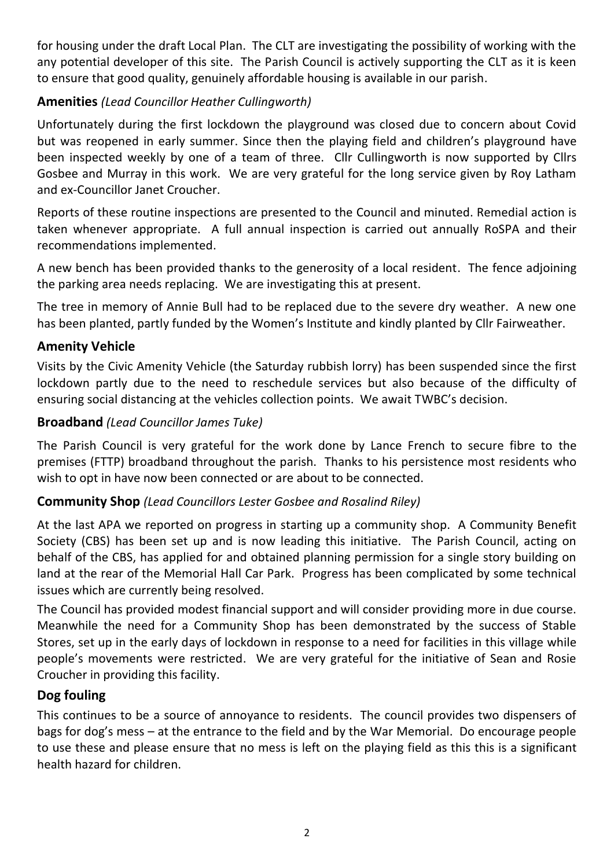for housing under the draft Local Plan. The CLT are investigating the possibility of working with the any potential developer of this site. The Parish Council is actively supporting the CLT as it is keen to ensure that good quality, genuinely affordable housing is available in our parish.

## **Amenities** *(Lead Councillor Heather Cullingworth)*

Unfortunately during the first lockdown the playground was closed due to concern about Covid but was reopened in early summer. Since then the playing field and children's playground have been inspected weekly by one of a team of three. Cllr Cullingworth is now supported by Cllrs Gosbee and Murray in this work. We are very grateful for the long service given by Roy Latham and ex-Councillor Janet Croucher.

Reports of these routine inspections are presented to the Council and minuted. Remedial action is taken whenever appropriate. A full annual inspection is carried out annually RoSPA and their recommendations implemented.

A new bench has been provided thanks to the generosity of a local resident. The fence adjoining the parking area needs replacing. We are investigating this at present.

The tree in memory of Annie Bull had to be replaced due to the severe dry weather. A new one has been planted, partly funded by the Women's Institute and kindly planted by Cllr Fairweather.

### **Amenity Vehicle**

Visits by the Civic Amenity Vehicle (the Saturday rubbish lorry) has been suspended since the first lockdown partly due to the need to reschedule services but also because of the difficulty of ensuring social distancing at the vehicles collection points. We await TWBC's decision.

#### **Broadband** *(Lead Councillor James Tuke)*

The Parish Council is very grateful for the work done by Lance French to secure fibre to the premises (FTTP) broadband throughout the parish. Thanks to his persistence most residents who wish to opt in have now been connected or are about to be connected.

#### **Community Shop** *(Lead Councillors Lester Gosbee and Rosalind Riley)*

At the last APA we reported on progress in starting up a community shop. A Community Benefit Society (CBS) has been set up and is now leading this initiative. The Parish Council, acting on behalf of the CBS, has applied for and obtained planning permission for a single story building on land at the rear of the Memorial Hall Car Park. Progress has been complicated by some technical issues which are currently being resolved.

The Council has provided modest financial support and will consider providing more in due course. Meanwhile the need for a Community Shop has been demonstrated by the success of Stable Stores, set up in the early days of lockdown in response to a need for facilities in this village while people's movements were restricted. We are very grateful for the initiative of Sean and Rosie Croucher in providing this facility.

#### **Dog fouling**

This continues to be a source of annoyance to residents. The council provides two dispensers of bags for dog's mess – at the entrance to the field and by the War Memorial. Do encourage people to use these and please ensure that no mess is left on the playing field as this this is a significant health hazard for children.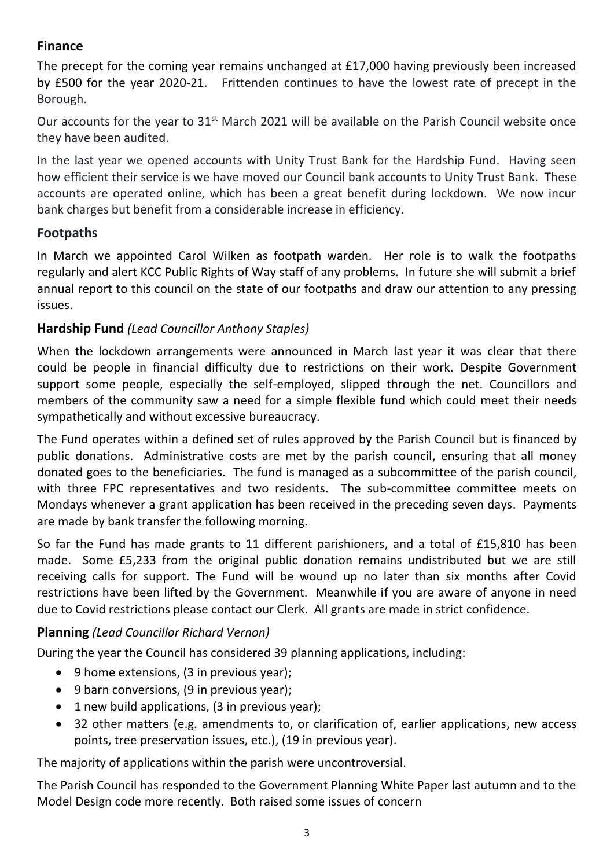#### **Finance**

The precept for the coming year remains unchanged at £17,000 having previously been increased by £500 for the year 2020-21. Frittenden continues to have the lowest rate of precept in the Borough.

Our accounts for the year to 31<sup>st</sup> March 2021 will be available on the Parish Council website once they have been audited.

In the last year we opened accounts with Unity Trust Bank for the Hardship Fund. Having seen how efficient their service is we have moved our Council bank accounts to Unity Trust Bank. These accounts are operated online, which has been a great benefit during lockdown. We now incur bank charges but benefit from a considerable increase in efficiency.

## **Footpaths**

In March we appointed Carol Wilken as footpath warden. Her role is to walk the footpaths regularly and alert KCC Public Rights of Way staff of any problems. In future she will submit a brief annual report to this council on the state of our footpaths and draw our attention to any pressing issues.

## **Hardship Fund** *(Lead Councillor Anthony Staples)*

When the lockdown arrangements were announced in March last year it was clear that there could be people in financial difficulty due to restrictions on their work. Despite Government support some people, especially the self-employed, slipped through the net. Councillors and members of the community saw a need for a simple flexible fund which could meet their needs sympathetically and without excessive bureaucracy.

The Fund operates within a defined set of rules approved by the Parish Council but is financed by public donations. Administrative costs are met by the parish council, ensuring that all money donated goes to the beneficiaries. The fund is managed as a subcommittee of the parish council, with three FPC representatives and two residents. The sub-committee committee meets on Mondays whenever a grant application has been received in the preceding seven days. Payments are made by bank transfer the following morning.

So far the Fund has made grants to 11 different parishioners, and a total of £15,810 has been made. Some £5,233 from the original public donation remains undistributed but we are still receiving calls for support. The Fund will be wound up no later than six months after Covid restrictions have been lifted by the Government. Meanwhile if you are aware of anyone in need due to Covid restrictions please contact our Clerk. All grants are made in strict confidence.

## **Planning** *(Lead Councillor Richard Vernon)*

During the year the Council has considered 39 planning applications, including:

- 9 home extensions, (3 in previous year);
- 9 barn conversions, (9 in previous year);
- 1 new build applications, (3 in previous year);
- 32 other matters (e.g. amendments to, or clarification of, earlier applications, new access points, tree preservation issues, etc.), (19 in previous year).

The majority of applications within the parish were uncontroversial.

The Parish Council has responded to the Government Planning White Paper last autumn and to the Model Design code more recently. Both raised some issues of concern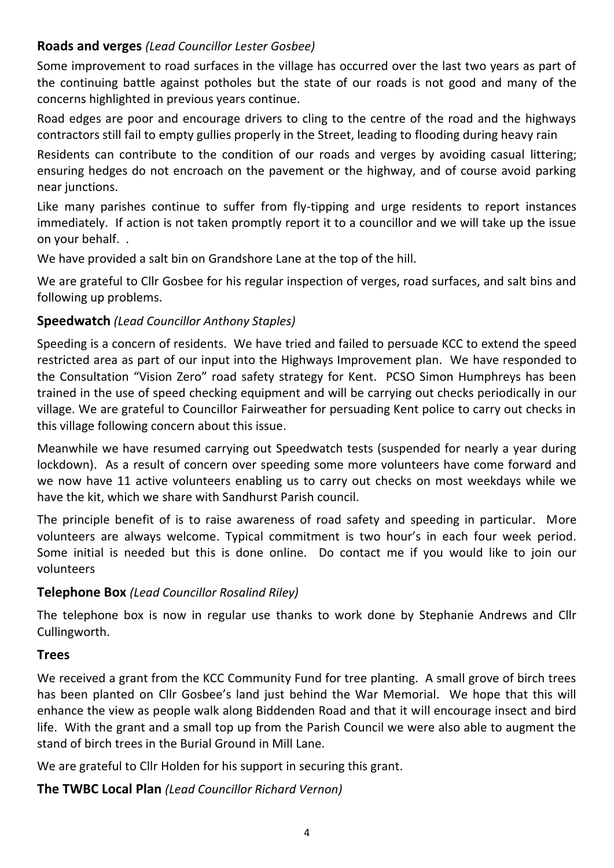#### **Roads and verges** *(Lead Councillor Lester Gosbee)*

Some improvement to road surfaces in the village has occurred over the last two years as part of the continuing battle against potholes but the state of our roads is not good and many of the concerns highlighted in previous years continue.

Road edges are poor and encourage drivers to cling to the centre of the road and the highways contractors still fail to empty gullies properly in the Street, leading to flooding during heavy rain

Residents can contribute to the condition of our roads and verges by avoiding casual littering; ensuring hedges do not encroach on the pavement or the highway, and of course avoid parking near junctions.

Like many parishes continue to suffer from fly-tipping and urge residents to report instances immediately. If action is not taken promptly report it to a councillor and we will take up the issue on your behalf. .

We have provided a salt bin on Grandshore Lane at the top of the hill.

We are grateful to Cllr Gosbee for his regular inspection of verges, road surfaces, and salt bins and following up problems.

#### **Speedwatch** *(Lead Councillor Anthony Staples)*

Speeding is a concern of residents. We have tried and failed to persuade KCC to extend the speed restricted area as part of our input into the Highways Improvement plan. We have responded to the Consultation "Vision Zero" road safety strategy for Kent. PCSO Simon Humphreys has been trained in the use of speed checking equipment and will be carrying out checks periodically in our village. We are grateful to Councillor Fairweather for persuading Kent police to carry out checks in this village following concern about this issue.

Meanwhile we have resumed carrying out Speedwatch tests (suspended for nearly a year during lockdown). As a result of concern over speeding some more volunteers have come forward and we now have 11 active volunteers enabling us to carry out checks on most weekdays while we have the kit, which we share with Sandhurst Parish council.

The principle benefit of is to raise awareness of road safety and speeding in particular. More volunteers are always welcome. Typical commitment is two hour's in each four week period. Some initial is needed but this is done online. Do contact me if you would like to join our volunteers

#### **Telephone Box** *(Lead Councillor Rosalind Riley)*

The telephone box is now in regular use thanks to work done by Stephanie Andrews and Cllr Cullingworth.

#### **Trees**

We received a grant from the KCC Community Fund for tree planting. A small grove of birch trees has been planted on Cllr Gosbee's land just behind the War Memorial. We hope that this will enhance the view as people walk along Biddenden Road and that it will encourage insect and bird life. With the grant and a small top up from the Parish Council we were also able to augment the stand of birch trees in the Burial Ground in Mill Lane.

We are grateful to Cllr Holden for his support in securing this grant.

**The TWBC Local Plan** *(Lead Councillor Richard Vernon)*